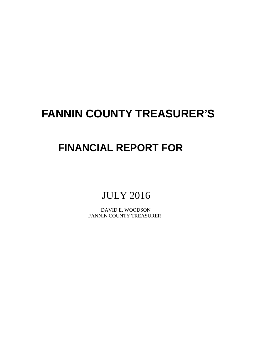# **FANNIN COUNTY TREASURER'S**

# **FINANCIAL REPORT FOR**

# JULY 2016

 DAVID E. WOODSON FANNIN COUNTY TREASURER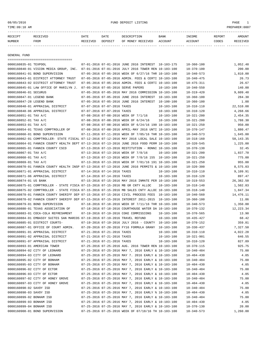# 08/05/2016 FUND DEPOSIT LISTING PAGE 1

| RECEIPT | <b>RECEIVED</b> | DATE     | DATE    | DESCRIPTION       | BANK    | <b>TNCOME</b>  | REPORT | AMOUNT          |
|---------|-----------------|----------|---------|-------------------|---------|----------------|--------|-----------------|
| NUMBER  | <b>FROM</b>     | RECEIVED | DEPOSIT | OF MONEY RECEIVED | ACCOUNT | <b>ACCOUNT</b> | CODES  | <b>RECEIVED</b> |
|         |                 |          |         |                   |         |                |        |                 |

GENERAL FUND

|                           | =====================================                                                        |                             |                                                      |                  |                  |             |
|---------------------------|----------------------------------------------------------------------------------------------|-----------------------------|------------------------------------------------------|------------------|------------------|-------------|
| 0000160835-01 TEXPOOL     |                                                                                              |                             | 07-01-2016 07-01-2016 JUNE 2016 INTEREST 10-103-175  |                  | $10 - 360 - 100$ | 1,052.48    |
|                           | 0000160840-01 VISION MEDIA GROUP, INC.                                                       |                             | 07-01-2016 07-01-2016 JULY 2016 TOWER REN 10-103-100 |                  | $10 - 370 - 100$ | 200.00      |
|                           | 0000160841-01 BOND SUPERVISION                                                               |                             | 07-05-2016 07-05-2016 WEEK OF 6/27/16 THR 10-103-100 |                  | $10 - 340 - 573$ | 1,810.00    |
|                           | 0000160843-01 DISTRICT ATTORNEY TRUST                                                        |                             | 07-05-2016 07-05-2016 ADMIN. FEES & CERTI 10-103-100 |                  | $10 - 340 - 475$ | 26.73       |
|                           | 0000160843-02 DISTRICT ATTORNEY TRUST                                                        |                             | 07-05-2016 07-05-2016 ADMIN. FEES & CERTI 10-103-100 |                  | $10 - 475 - 311$ | 26.67       |
|                           | 0000160845-01 LAW OFFICE OF MARILYN J.                                                       |                             | 07-05-2016 07-05-2016 SERVE PAPERS                   | 10-103-100       | $10 - 340 - 550$ | 140.00      |
| 0000160846-01 SECURUS     |                                                                                              |                             | 07-05-2016 07-05-2016 MAY 2016 COMMISSION 10-103-100 |                  | $10 - 319 - 420$ | 9,609.48    |
| 0000160847-01 LEGEND BANK |                                                                                              |                             | 07-05-2016 07-05-2016 JUNE 2016 INTEREST 10-103-100  |                  | $10 - 360 - 100$ | 284.30      |
| 0000160847-28 LEGEND BANK |                                                                                              |                             | 07-05-2016 07-05-2016 JUNE 2016 INTEREST 10-100-100  |                  | $10 - 360 - 100$ | 1.88        |
|                           | 0000160848-01 APPRAISAL DISTRICT                                                             | 07-07-2016 07-07-2016 TAXES |                                                      | $10 - 103 - 100$ | $10 - 310 - 110$ | 22,510.08   |
|                           | 0000160848-06 APPRAISAL DISTRICT                                                             | 07-07-2016 07-07-2016 TAXES |                                                      | $10 - 103 - 100$ | $10 - 310 - 120$ | 4,268.66    |
| 0000160851-01 TAX A/C     |                                                                                              |                             | 07-08-2016 07-08-2016 WEEK OF 7/1/16                 | 10-103-100       | $10 - 321 - 200$ | 2,454.35    |
| 0000160852-01 TAX A/C     |                                                                                              |                             | 07-08-2016 07-08-2016 WEEK OF 6/24/16                | $10 - 103 - 100$ | $10 - 321 - 200$ | 1,788.30    |
| 0000160853-01 TAX A/C     |                                                                                              |                             | 07-08-2016 07-08-2016 WEEK OF 6/24/16 190 10-103-100 |                  | $10 - 321 - 250$ | 950.00      |
|                           | 0000160854-01 TEXAS COMPTROLLER OF                                                           |                             | 07-08-2016 07-08-2016 APRIL-MAY 2016 UNTI 10-103-100 |                  | $10 - 370 - 147$ | 1,880.47    |
|                           | 0000160860-01 BOND SUPERVISION                                                               |                             | 07-11-2016 07-11-2016 WEEK OF 7/05/16 THR 10-103-100 |                  | $10 - 340 - 573$ | 1,645.00    |
|                           | 0000160862-01 COMPTROLLER- STATE FISCAL 07-12-2016 07-12-2016 MAY 2016 LOCAL SALE 10-103-100 |                             |                                                      |                  | $10 - 318 - 160$ | 58, 143. 35 |
|                           | 0000160864-01 FANNIN COUNTY HEALTH DEPT 07-13-2016 07-13-2016 JUNE 2016 FOOD PERM 10-103-100 |                             |                                                      |                  | $10 - 320 - 545$ | 1,225.00    |
|                           | 0000160865-01 FANNIN COUNTY CSCD                                                             |                             | 07-13-2016 07-13-2016 RESTITUTION - RONNI 10-103-100 |                  | $10 - 370 - 130$ | 32.45       |
| 0000160867-01 TAX A/C     |                                                                                              |                             | 07-13-2016 07-13-2016 WEEK OF 7/8/16                 | $10 - 103 - 100$ | $10 - 321 - 200$ | 1,837.70    |
| 0000160868-01 TAX A/C     |                                                                                              |                             | 07-13-2016 07-13-2016 WEEK OF 7/8/16 155 10-103-100  |                  | $10 - 321 - 250$ | 775.00      |
| 0000160869-01 TAX A/C     |                                                                                              |                             | 07-13-2016 07-13-2016 WEEK OF 7/01/16 191 10-103-100 |                  | $10 - 321 - 250$ | 955.00      |
|                           | 0000160870-01 FANNIN COUNTY HEALTH INSP 07-13-2016 07-13-2016 JUNE 2016 PERMITS & 10-103-100 |                             |                                                      |                  | $10 - 320 - 300$ | 8,575.03    |
|                           | 0000160871-01 APPRAISAL DISTRICT                                                             | 07-14-2016 07-14-2016 TAXES |                                                      | $10 - 103 - 100$ | $10 - 310 - 110$ | 9,109.91    |
|                           | 0000160871-06 APPRAISAL DISTRICT                                                             | 07-14-2016 07-14-2016 TAXES |                                                      | $10 - 103 - 100$ | $10 - 310 - 120$ | 897.47      |
| 0000160874-01 US BANK     |                                                                                              |                             | 07-15-2016 07-15-2016 MAY 2016 INMATE PER 10-103-100 |                  | $10 - 319 - 553$ | 26,382.50   |
|                           | 0000160875-01 COMPTROLLER - STATE FISCA 07-15-2016 07-15-2016 MB GR CNTY ALLOC               |                             |                                                      | 10-103-100       | $10 - 318 - 140$ | 1,502.83    |
|                           | 0000160875-02 COMPTROLLER - STATE FISCA 07-15-2016 07-15-2016 MB SALES CNTY ALLOC 10-103-100 |                             |                                                      |                  | $10 - 318 - 140$ | 1,847.34    |
|                           | 0000160878-01 FANNIN COUNTY SHERIFF DEP 07-15-2016 07-15-2016 CIVIL PROCESS FEES             |                             |                                                      | 10-103-100       | $10 - 340 - 560$ | 14,476.11   |
|                           | 0000160878-02 FANNIN COUNTY SHERIFF DEP 07-15-2016 07-15-2016 INTEREST 2011-2015 10-103-100  |                             |                                                      |                  | $10 - 360 - 100$ | 11.86       |
|                           | 0000160879-01 BOND SUPERVISION                                                               |                             | 07-18-2016 07-18-2016 WEEK OF 7/11/16 THR 10-103-100 |                  | $10 - 340 - 573$ | 1,350.00    |
|                           | 0000160880-01 TEXAS ASSOCIATION OF                                                           |                             | 07-18-2016 07-18-2016 COURTHOUSE WATER DA 10-103-100 |                  | $10 - 370 - 132$ | 12,223.34   |
|                           | 0000160883-01 COCA-COLA REFRESHMENT                                                          |                             | 07-19-2016 07-19-2016 COKE COMMISSIONS               | $10 - 103 - 100$ | $10 - 370 - 565$ | 13.90       |
|                           | 0000160884-01 EMBASSY SUITES SAN MARCOS 07-19-2016 07-19-2016 TRAVEL REFUND                  |                             |                                                      | $10 - 103 - 100$ | $10 - 435 - 427$ | 68.42       |
|                           | 0000160885-01 DISTRICT COURTS-                                                               |                             | 07-19-2016 07-19-2016 JULY 2016 - COUNTY 10-103-100  |                  | $10 - 370 - 152$ | 359.81      |
|                           | 0000160887-01 OFFICE OF COURT ADMIN.                                                         |                             | 07-20-2016 07-20-2016 FY16 FORMULA GRANY 10-103-100  |                  | $10 - 330 - 437$ | 7,327.50    |
|                           | 0000160891-01 APPRAISAL DISTRICT                                                             | 07-21-2016 07-21-2016 TAXES |                                                      | $10 - 103 - 100$ | $10 - 310 - 110$ | 4,022.28    |
|                           | 0000160891-02 APPRAISAL DISTRICT                                                             | 07-21-2016 07-21-2016 TAXES |                                                      | $10 - 103 - 100$ | $10 - 321 - 901$ | 646.55      |
|                           | 0000160891-07 APPRAISAL DISTRICT                                                             | 07-21-2016 07-21-2016 TAXES |                                                      | $10 - 103 - 100$ | $10 - 310 - 120$ | 827.89      |
|                           | 0000160893-01 AMERICAN TOWER                                                                 |                             | 07-25-2016 07-25-2016 AUG. 2016 TOWER REN 10-103-100 |                  | $10 - 370 - 115$ | 925.75      |
|                           | 0000160894-02 CITY OF LEONARD                                                                |                             | 07-25-2016 07-25-2016 MAY 7, 2016 EARLY & 10-103-100 |                  | $10 - 340 - 484$ | 75.00       |
|                           | 0000160894-03 CITY OF LEONARD                                                                |                             | 07-25-2016 07-25-2016 MAY 7. 2016 EARLY & 10-103-100 |                  | $10 - 404 - 430$ | 4.05        |
|                           | 0000160895-02 CITY OF BONHAM                                                                 |                             | 07-25-2016 07-25-2016 MAY 7, 2016 EARLY & 10-103-100 |                  | $10 - 340 - 484$ | 75.00       |
|                           | 0000160895-03 CITY OF BONHAM                                                                 |                             | 07-25-2016 07-25-2016 MAY 7, 2016 EARLY & 10-103-100 |                  | $10 - 404 - 430$ | 4.05        |
|                           | 0000160896-02 CITY OF ECTOR                                                                  |                             | 07-25-2016 07-25-2016 MAY 7, 2016 EARLY & 10-103-100 |                  | $10 - 340 - 484$ | 75.00       |
|                           | 0000160896-03 CITY OF ECTOR                                                                  |                             | 07-25-2016 07-25-2016 MAY 7, 2016 EARLY & 10-103-100 |                  | $10 - 404 - 430$ | 4.05        |
|                           | 0000160897-02 CITY OF HONEY GROVE                                                            |                             | 07-25-2016 07-25-2016 MAY 7, 2016 EARLY & 10-103-100 |                  | $10 - 340 - 484$ | 75.00       |
|                           | 0000160897-03 CITY OF HONEY GROVE                                                            |                             | 07-25-2016 07-25-2016 MAY 7, 2016 EARLY & 10-103-100 |                  | $10 - 404 - 430$ | 4.05        |
| 0000160898-02 SAVOY ISD   |                                                                                              |                             | 07-25-2016 07-25-2016 MAY 7, 2016 EARLY & 10-103-100 |                  | $10 - 340 - 484$ | 75.00       |
| 0000160898-03 SAVOY ISD   |                                                                                              |                             | 07-25-2016 07-25-2016 MAY 7, 2016 EARLY % 10-103-100 |                  | $10 - 404 - 430$ | 4.05        |
| 0000160899-02 BONHAM ISD  |                                                                                              |                             | 07-25-2016 07-25-2016 MAY 7, 2016 EARLY & 10-103-100 |                  | $10 - 340 - 484$ | 75.00       |
| 0000160899-03 BONHAM ISD  |                                                                                              |                             | 07-25-2016 07-25-2016 MAY 7, 2016 EARLY & 10-103-100 |                  | $10 - 404 - 430$ | 4.05        |
| 0000160899-04 BONHAM ISD  |                                                                                              |                             | 07-25-2016 07-25-2016 MAY 7, 2016 EARLY & 10-103-100 |                  | $10 - 370 - 130$ | 20.00       |
|                           | 0000160908-01 BOND SUPERVISION                                                               |                             | 07-25-2016 07-25-2016 WEEK OF 07/18/16 TH 10-103-100 |                  |                  | 1,260.00    |
|                           |                                                                                              |                             |                                                      |                  | $10 - 340 - 573$ |             |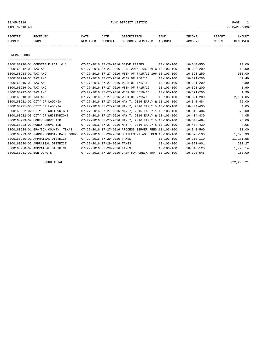08/05/2016 FUND DEPOSIT LISTING PAGE 2

| RECEIPT | <b>RECEIVED</b> | DATE     | DATE    | DESCRIPTION          | <b>BANK</b>    | INCOME  | <b>REPORT</b> | AMOUNT          |
|---------|-----------------|----------|---------|----------------------|----------------|---------|---------------|-----------------|
| NUMBER  | FROM            | RECEIVED | DEPOSIT | RECEIVED<br>OF MONEY | <b>ACCOUNT</b> | ACCOUNT | CODES         | <b>RECEIVED</b> |
|         |                 |          |         |                      |                |         |               |                 |

GENERAL FUND

| =====================================  |                             |                                                      |                  |                  |           |
|----------------------------------------|-----------------------------|------------------------------------------------------|------------------|------------------|-----------|
| 0000160910-01 CONSTABLE PCT. # 1       |                             | 07-26-2016 07-26-2016 SERVE PAPERS                   | 10-103-100       | $10 - 340 - 550$ | 70.00     |
| 0000160912-01 TAX A/C                  |                             | 07-27-2016 07-27-2016 JUNE 2016 TABC 5% C 10-103-100 |                  | $10 - 320 - 200$ | 12.00     |
| 0000160913-01 TAX A/C                  |                             | 07-27-2016 07-27-2016 WEEK OF 7/15/16 196 10-103-100 |                  | $10 - 321 - 250$ | 980.00    |
| 0000160914-01 TAX A/C                  |                             | 07-27-2016 07-27-2016 WEEK OF 7/8/16                 | $10 - 103 - 100$ | $10 - 321 - 200$ | 49.40     |
| 0000160915-01 TAX A/C                  |                             | 07-27-2016 07-27-2016 WEEK OF 7/1/16                 | $10 - 103 - 100$ | $10 - 321 - 200$ | 3.80      |
| 0000160916-01 TAX A/C                  |                             | 07-27-2016 07-27-2016 WEEK OF 7/15/16                | $10 - 103 - 100$ | $10 - 321 - 200$ | 1.90      |
| 0000160917-01 TAX A/C                  |                             | 07-27-2016 07-27-2016 WEEK OF 6/10/16                | 10-103-100       | $10 - 321 - 200$ | 1.90      |
| 0000160918-01 TAX A/C                  |                             | 07-27-2016 07-27-2016 WEEK OF 7/15/16                | 10-103-100       | $10 - 321 - 200$ | 2,184.05  |
| 0000160921-02 CITY OF LADONIA          |                             | 07-27-2016 07-27-2016 MAY 7, 2016 EARLY & 10-103-100 |                  | $10 - 340 - 484$ | 75.00     |
| 0000160921-03 CITY OF LADONIA          |                             | 07-27-2016 07-27-2016 MAY 7, 2016 EARLY & 10-103-100 |                  | $10 - 404 - 430$ | 4.05      |
| 0000160922-02 CITY OF WHITEWRIGHT      |                             | 07-27-2016 07-27-2016 MAY 7, 2016 EARLY & 10-103-100 |                  | $10 - 340 - 484$ | 75.00     |
| 0000160922-03 CITY OF WHITEWRIGHT      |                             | 07-27-2016 07-27-2016 MAY 7, 2016 EARLY & 10-103-100 |                  | $10 - 404 - 430$ | 4.05      |
| 0000160923-02 HONEY GROVE ISD          |                             | 07-27-2016 07-27-2016 MAY 7, 2016 EARLY & 10-103-100 |                  | $10 - 340 - 484$ | 75.00     |
| 0000160923-03 HONEY GROVE ISD          |                             | 07-27-2016 07-27-2016 MAY 7, 2016 EARLY & 10-103-100 |                  | $10 - 404 - 430$ | 4.05      |
| 0000160924-01 GRAYSON COUNTY, TEXAS    |                             | 07-27-2016 07-27-2016 PROCESS SERVER FEES 10-103-100 |                  | $10 - 340 - 560$ | 80.00     |
| 0000160929-01 FANNIN COUNTY BAIL BONDS |                             | 07-29-2016 07-29-2016 SETTLEMENT AGREEMEN 10-103-100 |                  | $10 - 370 - 130$ | 1,398.33  |
| 0000160930-01 APPRAISAL DISTRICT       | 07-29-2016 07-29-2016 TAXES |                                                      | $10 - 103 - 100$ | $10 - 310 - 110$ | 11,181.58 |
| 0000160930-02 APPRAISAL DISTRICT       | 07-29-2016 07-29-2016 TAXES |                                                      | $10 - 103 - 100$ | $10 - 321 - 901$ | 283.27    |
| 0000160930-07 APPRAISAL DISTRICT       | 07-29-2016 07-29-2016 TAXES |                                                      | $10 - 103 - 100$ | $10 - 310 - 120$ | 1,720.14  |
| 0000160931-01 BUN DONUTS               |                             | 07-29-2016 07-29-2016 CASH FOR CHECK THAT 10-103-100 |                  | $10 - 320 - 545$ | 150.00    |

FUND TOTAL 222,293.21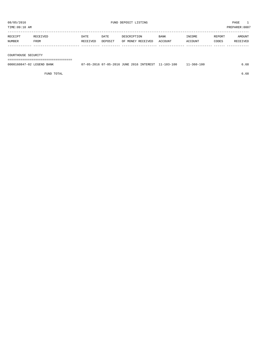TIME:09:10 AM PREPARER:0007

| RECEIPT | <b>RECEIVED</b> | DATE     | DATE    | DESCRIPTION       | BANK    | <b>INCOME</b> | <b>REPORT</b> | AMOUNT          |
|---------|-----------------|----------|---------|-------------------|---------|---------------|---------------|-----------------|
| NUMBER  | FROM            | RECEIVED | DEPOSIT | OF MONEY RECEIVED | ACCOUNT | CCOUNT        | CODES         | <b>RECEIVED</b> |
|         |                 |          |         |                   |         |               |               |                 |

COURTHOUSE SECURITY

===================================

| 0000160847-02 LEGEND BANK | 07-05-2016 07-05-2016 JUNE 2016 INTEREST 11-103-100 |  | 11-360-100 | , 68 |
|---------------------------|-----------------------------------------------------|--|------------|------|
|                           |                                                     |  |            |      |

FUND TOTAL 6.68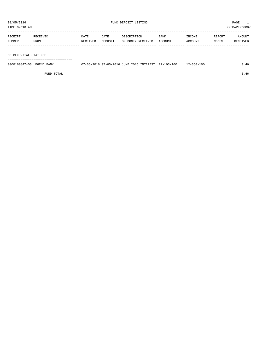TIME:09:10 AM PREPARER:0007

| RECEIPT | RECEIVED | DATE     | DATE    | DESCRIPTION       | <b>BANK</b> | INCOME  | REPORT | AMOUNT   |
|---------|----------|----------|---------|-------------------|-------------|---------|--------|----------|
| NUMBER  | FROM     | RECEIVED | DEPOSIT | OF MONEY RECEIVED | ACCOUNT     | ACCOUNT | CODES  | RECEIVED |
|         |          |          |         |                   |             |         |        |          |

CO.CLK.VITAL STAT.FEE

===================================

| 0000160847-03 LEGEND BANK | 07-05-2016 07-05-2016 JUNE 2016 INTEREST 12-103-100 | $12 - 360 - 100$ | 0.46 |
|---------------------------|-----------------------------------------------------|------------------|------|
|                           |                                                     |                  |      |

FUND TOTAL  $0.46$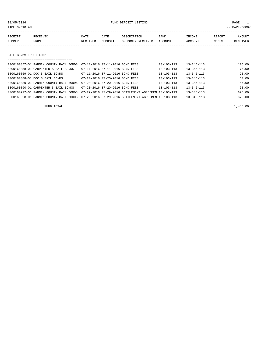# 08/05/2016 FUND DEPOSIT LISTING PAGE 1

| RECEIPT | RECEIVED | DATE     | DATE    | DESCRIPTION       | <b>BANK</b> | INCOME         | REPORT | AMOUNT   |
|---------|----------|----------|---------|-------------------|-------------|----------------|--------|----------|
| NUMBER  | FROM     | RECEIVED | DEPOSIT | OF MONEY RECEIVED | ACCOUNT     | <b>ACCOUNT</b> | CODES  | RECEIVED |
|         |          |          |         |                   |             |                |        |          |

BAIL BONDS TRUST FUND

| 0000160857-01 FANNIN COUNTY BAIL BONDS | 07-11-2016 07-11-2016 BOND FEES |                                                      | $13 - 103 - 113$ | $13 - 345 - 113$ | 105.00 |
|----------------------------------------|---------------------------------|------------------------------------------------------|------------------|------------------|--------|
| 0000160858-01 CARPENTER'S BAIL BONDS   | 07-11-2016 07-11-2016 BOND FEES |                                                      | 13-103-113       | $13 - 345 - 113$ | 75.00  |
| 0000160859-01 DOC'S BAIL BONDS         | 07-11-2016 07-11-2016 BOND FEES |                                                      | $13 - 103 - 113$ | $13 - 345 - 113$ | 90.00  |
| 0000160888-01 DOC'S BAIL BONDS         | 07-20-2016 07-20-2016 BOND FEES |                                                      | 13-103-113       | $13 - 345 - 113$ | 60.00  |
| 0000160889-01 FANNIN COUNTY BAIL BONDS | 07-20-2016 07-20-2016 BOND FEES |                                                      | 13-103-113       | $13 - 345 - 113$ | 45.00  |
| 0000160890-01 CARPENTER'S BAIL BONDS   | 07-20-2016 07-20-2016 BOND FEES |                                                      | $13 - 103 - 113$ | $13 - 345 - 113$ | 60.00  |
| 0000160927-01 FANNIN COUNTY BAIL BONDS |                                 | 07-29-2016 07-29-2016 SETTLEMENT AGREEMEN 13-103-113 |                  | $13 - 345 - 113$ | 625.00 |
| 0000160928-01 FANNIN COUNTY BAIL BONDS |                                 | 07-29-2016 07-29-2016 SETTLEMENT AGREEMEN 13-103-113 |                  | $13 - 345 - 113$ | 375.00 |
|                                        |                                 |                                                      |                  |                  |        |

FUND TOTAL  $1,435.00$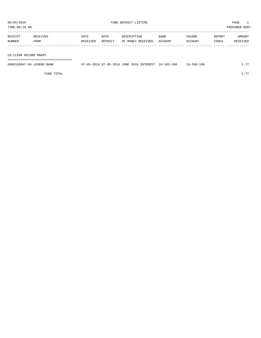TIME:09:10 AM PREPARER:0007

| RECEIPT | RECEIVED | DATE     | DATE    | DESCRIPTION       | <b>BANK</b> | INCOME  | REPORT | AMOUNT   |
|---------|----------|----------|---------|-------------------|-------------|---------|--------|----------|
| NUMBER  | FROM     | RECEIVED | DEPOSIT | OF MONEY RECEIVED | ACCOUNT     | ACCOUNT | CODES  | RECEIVED |
|         |          |          |         |                   |             |         |        |          |

CO.CLERK RECORD MNGMT.

===================================

| 0000160847-04 LEGEND BANK | 07-05-2016 07-05-2016 JUNE 2016 INTEREST 18-103-100 |  | $18 - 360 - 100$ | 77 |
|---------------------------|-----------------------------------------------------|--|------------------|----|
|                           |                                                     |  |                  |    |

FUND TOTAL  $1.77$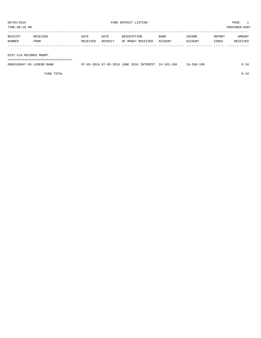TIME:09:10 AM PREPARER:0007

| RECEIPT | RECEIVED | DATE     | DATE    | DESCRIPTION               | BANK | INCOME  | REPORT | AMOUNT   |
|---------|----------|----------|---------|---------------------------|------|---------|--------|----------|
| NUMBER  | FROM     | RECEIVED | DEPOSIT | OF MONEY RECEIVED ACCOUNT |      | ACCOUNT | CODES  | RECEIVED |
|         |          |          |         |                           |      |         |        |          |
|         |          |          |         |                           |      |         |        |          |

DIST.CLK.RECORDS MNGMT.

===================================

| 0000160847-05 LEGEND BANK | 07-05-2016 07-05-2016 JUNE 2016 INTEREST 19-103-100 |  |  | 19-360-100 |  |
|---------------------------|-----------------------------------------------------|--|--|------------|--|
|                           |                                                     |  |  |            |  |

FUND TOTAL  $0.34$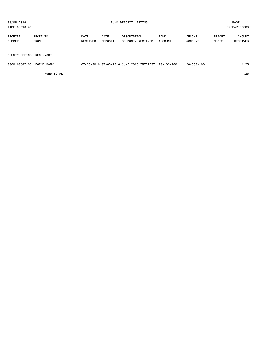TIME:09:10 AM PREPARER:0007

| RECEIPT | RECEIVED | DATE     | DATE    | DESCRIPTION       | BANK    | INCOME  | REPORT | AMOUNT   |
|---------|----------|----------|---------|-------------------|---------|---------|--------|----------|
| NUMBER  | FROM     | RECEIVED | DEPOSIT | OF MONEY RECEIVED | ACCOUNT | ACCOUNT | CODES  | RECEIVED |
|         |          |          |         |                   |         |         |        |          |
|         |          |          |         |                   |         |         |        |          |

COUNTY OFFICES REC.MNGMT.

===================================

| 0000160847-06 LEGEND BANK |  | 7-05-2016 07-05-2016 JUNE 2016 INTEREST | $20 - 103 - 100$ | $20 - 360 - 100$ |  |
|---------------------------|--|-----------------------------------------|------------------|------------------|--|
|                           |  |                                         |                  |                  |  |

FUND TOTAL 4.25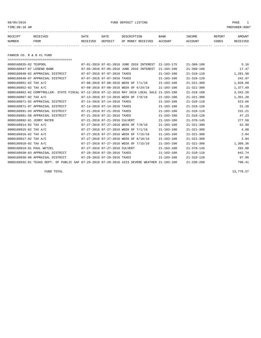08/05/2016 FUND DEPOSIT LISTING PAGE 1

| RECEIPT | RECEIVED | DATE     | DATE    | DESCRIPTION       | <b>BANK</b> | INCOME  | REPORT | AMOUNT          |
|---------|----------|----------|---------|-------------------|-------------|---------|--------|-----------------|
| NUMBER  | FROM     | RECEIVED | DEPOSIT | OF MONEY RECEIVED | ACCOUNT     | ACCOUNT | CODES  | <b>RECEIVED</b> |
|         |          |          |         |                   |             |         |        |                 |

FANNIN CO. R & B #1 FUND

| ====================================                                                         |                               |                                          |                  |                  |          |
|----------------------------------------------------------------------------------------------|-------------------------------|------------------------------------------|------------------|------------------|----------|
| 0000160835-02 TEXPOOL                                                                        |                               | 07-01-2016 07-01-2016 JUNE 2016 INTEREST | $21 - 103 - 175$ | $21 - 360 - 100$ | 5.16     |
| 0000160847-07 LEGEND BANK                                                                    |                               | 07-05-2016 07-05-2016 JUNE 2016 INTEREST | $21 - 103 - 100$ | $21 - 360 - 100$ | 17.47    |
| 0000160848-02 APPRAISAL DISTRICT                                                             | 07-07-2016 07-07-2016 TAXES   |                                          | $21 - 103 - 100$ | $21 - 310 - 110$ | 1,291.58 |
| 0000160848-07 APPRAISAL DISTRICT                                                             | 07-07-2016 07-07-2016 TAXES   |                                          | $21 - 103 - 100$ | $21 - 310 - 120$ | 242.97   |
| 0000160851-02 TAX A/C                                                                        |                               | 07-08-2016 07-08-2016 WEEK OF 7/1/16     | $21 - 103 - 100$ | $21 - 321 - 300$ | 1,828.09 |
| 0000160852-02 TAX A/C                                                                        |                               | 07-08-2016 07-08-2016 WEEK OF 6/24/16    | $21 - 103 - 100$ | $21 - 321 - 300$ | 1,377.69 |
| 0000160862-02 COMPTROLLER- STATE FISCAL 07-12-2016 07-12-2016 MAY 2016 LOCAL SALE            |                               |                                          | 21-103-100       | $21 - 318 - 160$ | 3,342.20 |
| 0000160867-02 TAX A/C                                                                        |                               | 07-13-2016 07-13-2016 WEEK OF 7/8/16     | $21 - 103 - 100$ | $21 - 321 - 300$ | 1,351.20 |
| 0000160871-02 APPRAISAL DISTRICT                                                             | 07-14-2016 07-14-2016 TAXES   |                                          | $21 - 103 - 100$ | $21 - 310 - 110$ | 523.66   |
| 0000160871-07 APPRAISAL DISTRICT                                                             | 07-14-2016 07-14-2016 TAXES   |                                          | $21 - 103 - 100$ | $21 - 310 - 120$ | 51.20    |
| 0000160891-03 APPRAISAL DISTRICT                                                             | 07-21-2016 07-21-2016 TAXES   |                                          | $21 - 103 - 100$ | $21 - 310 - 110$ | 231.21   |
| 0000160891-08 APPRAISAL DISTRICT                                                             | 07-21-2016 07-21-2016 TAXES   |                                          | $21 - 103 - 100$ | $21 - 310 - 120$ | 47.23    |
| 0000160892-01 JERRY RATER                                                                    | 07-21-2016 07-21-2016 CULVERT |                                          | $21 - 103 - 100$ | $21 - 370 - 145$ | 277.50   |
| 0000160914-02 TAX A/C                                                                        |                               | 07-27-2016 07-27-2016 WEEK OF 7/8/16     | $21 - 103 - 100$ | $21 - 321 - 300$ | 52.99    |
| 0000160915-02 TAX A/C                                                                        |                               | 07-27-2016 07-27-2016 WEEK OF 7/1/16     | $21 - 103 - 100$ | $21 - 321 - 300$ | 4.08     |
| 0000160916-02 TAX A/C                                                                        |                               | 07-27-2016 07-27-2016 WEEK OF 7/15/16    | $21 - 103 - 100$ | $21 - 321 - 300$ | 2.04     |
| 0000160917-02 TAX A/C                                                                        |                               | 07-27-2016 07-27-2016 WEEK OF 6/10/16    | $21 - 103 - 100$ | $21 - 321 - 300$ | 2.04     |
| 0000160918-02 TAX A/C                                                                        |                               | 07-27-2016 07-27-2016 WEEK OF 7/15/16    | $21 - 103 - 100$ | $21 - 321 - 300$ | 1,306.36 |
| 0000160919-01 PAUL WETZEL                                                                    | 07-27-2016 07-27-2016 CULVERT |                                          | $21 - 103 - 100$ | $21 - 370 - 145$ | 292.80   |
| 0000160930-03 APPRAISAL DISTRICT                                                             | 07-29-2016 07-29-2016 TAXES   |                                          | $21 - 103 - 100$ | $21 - 310 - 110$ | 642.74   |
| 0000160930-08 APPRAISAL DISTRICT                                                             | 07-29-2016 07-29-2016 TAXES   |                                          | $21 - 103 - 100$ | $21 - 310 - 120$ | 97.95    |
| 0000160932-01 TEXAS DEPT. OF PUBLIC SAF 07-29-2016 07-29-2016 4223 SEVERE WEATHER 21-103-100 |                               |                                          |                  | $21 - 330 - 200$ | 790.41   |
|                                                                                              |                               |                                          |                  |                  |          |

FUND TOTAL  $13,778.57$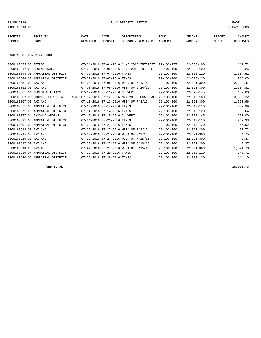08/05/2016 FUND DEPOSIT LISTING PAGE 1

| RECEIPT | <b>RECEIVED</b> | DATE            | DATE    | DESCRIPTION       | <b>BANK</b> | <b>TNCOME</b> | REPORT | AMOUNT          |
|---------|-----------------|-----------------|---------|-------------------|-------------|---------------|--------|-----------------|
| NUMBER  | FROM            | <b>RECEIVED</b> | DEPOSIT | OF MONEY RECEIVED | ACCOUNT     | ACCOUNT       | CODES  | <b>RECEIVED</b> |
|         |                 |                 |         |                   |             |               |        |                 |

FANNIN CO. R & B #2 FUND

===================================

| 0000160835-03 TEXPOOL            |                                                                                   |                               | 07-01-2016 07-01-2016 JUNE 2016 INTEREST | $22 - 103 - 175$ | $22 - 360 - 100$ | 112.72   |
|----------------------------------|-----------------------------------------------------------------------------------|-------------------------------|------------------------------------------|------------------|------------------|----------|
| 0000160847-08 LEGEND BANK        |                                                                                   |                               | 07-05-2016 07-05-2016 JUNE 2016 INTEREST | $22 - 103 - 100$ | $22 - 360 - 100$ | 13.26    |
| 0000160848-03 APPRAISAL DISTRICT |                                                                                   | 07-07-2016 07-07-2016 TAXES   |                                          | $22 - 103 - 100$ | $22 - 310 - 110$ | 1,504.52 |
| 0000160848-08 APPRAISAL DISTRICT |                                                                                   | 07-07-2016 07-07-2016 TAXES   |                                          | $22 - 103 - 100$ | $22 - 310 - 120$ | 283.03   |
| 0000160851-03 TAX A/C            |                                                                                   |                               | 07-08-2016 07-08-2016 WEEK OF 7/1/16     | $22 - 103 - 100$ | $22 - 321 - 300$ | 2,129.47 |
| 0000160852-03 TAX A/C            |                                                                                   |                               | 07-08-2016 07-08-2016 WEEK OF 6/24/16    | $22 - 103 - 100$ | $22 - 321 - 300$ | 1,604.82 |
| 0000160861-01 TERESA WILLIAMS    |                                                                                   | 07-12-2016 07-12-2016 CULVERT |                                          | $22 - 103 - 100$ | $22 - 370 - 145$ | 187.00   |
|                                  | 0000160862-03 COMPTROLLER- STATE FISCAL 07-12-2016 07-12-2016 MAY 2016 LOCAL SALE |                               |                                          | 22-103-100       | $22 - 318 - 160$ | 3,893.22 |
| $0000160867 - 03$ TAX A/C        |                                                                                   |                               | 07-13-2016 07-13-2016 WEEK OF 7/8/16     | $22 - 103 - 100$ | $22 - 321 - 300$ | 1,573.96 |
| 0000160871-03 APPRAISAL DISTRICT |                                                                                   | 07-14-2016 07-14-2016 TAXES   |                                          | $22 - 103 - 100$ | $22 - 310 - 110$ | 609.99   |
| 0000160871-08 APPRAISAL DISTRICT |                                                                                   | 07-14-2016 07-14-2016 TAXES   |                                          | $22 - 103 - 100$ | $22 - 310 - 120$ | 59.64    |
| 0000160877-01 JASON CLABORNE     |                                                                                   | 07-15-2016 07-15-2016 CULVERT |                                          | $22 - 103 - 100$ | $22 - 370 - 145$ | 250.00   |
| 0000160891-04 APPRAISAL DISTRICT |                                                                                   | 07-21-2016 07-21-2016 TAXES   |                                          | $22 - 103 - 100$ | $22 - 310 - 110$ | 269.33   |
| 0000160891-09 APPRAISAL DISTRICT |                                                                                   | 07-21-2016 07-21-2016 TAXES   |                                          | $22 - 103 - 100$ | $22 - 310 - 120$ | 55.02    |
| 0000160914-03 TAX A/C            |                                                                                   |                               | 07-27-2016 07-27-2016 WEEK OF 7/8/16     | $22 - 103 - 100$ | $22 - 321 - 300$ | 61.72    |
| 0000160915-03 TAX A/C            |                                                                                   |                               | 07-27-2016 07-27-2016 WEEK OF 7/1/16     | $22 - 103 - 100$ | $22 - 321 - 300$ | 4.75     |
| 0000160916-03 TAX A/C            |                                                                                   |                               | 07-27-2016 07-27-2016 WEEK OF 7/15/16    | $22 - 103 - 100$ | $22 - 321 - 300$ | 2.37     |
| 0000160917-03 TAX A/C            |                                                                                   |                               | 07-27-2016 07-27-2016 WEEK OF 6/10/16    | $22 - 103 - 100$ | $22 - 321 - 300$ | 2.37     |
| 0000160918-03 TAX A/C            |                                                                                   |                               | 07-27-2016 07-27-2016 WEEK OF 7/15/16    | $22 - 103 - 100$ | $22 - 321 - 300$ | 1,521.73 |
| 0000160930-04 APPRAISAL DISTRICT |                                                                                   | 07-29-2016 07-29-2016 TAXES   |                                          | $22 - 103 - 100$ | $22 - 310 - 110$ | 748.71   |
| 0000160930-09 APPRAISAL DISTRICT |                                                                                   | 07-29-2016 07-29-2016 TAXES   |                                          | $22 - 103 - 100$ | $22 - 310 - 120$ | 114.10   |

FUND TOTAL  $15,001.73$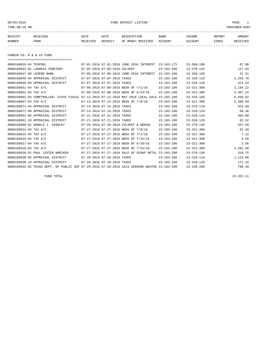## 08/05/2016 FUND DEPOSIT LISTING PAGE 1

| RECEIPT | RECEIVED | DATE     | DATE    | DESCRIPTION       | <b>BANK</b> | <b>TNCOME</b> | <b>REPORT</b> | AMOUNT          |
|---------|----------|----------|---------|-------------------|-------------|---------------|---------------|-----------------|
| NUMBER  | FROM     | RECEIVED | DEPOSIT | OF MONEY RECEIVED | ACCOUNT     | ACCOUNT       | CODES         | <b>RECEIVED</b> |
|         |          |          |         |                   |             |               |               |                 |

FANNIN CO. R & B #3 FUND

| =====================================                                                        |                             |                               |                                           |                  |                  |          |
|----------------------------------------------------------------------------------------------|-----------------------------|-------------------------------|-------------------------------------------|------------------|------------------|----------|
| 0000160835-04 TEXPOOL                                                                        |                             |                               | 07-01-2016 07-01-2016 JUNE 2016 INTEREST  | $23 - 103 - 175$ | $23 - 360 - 100$ | 67.86    |
| 0000160842-01 LADONIA CEMETERY                                                               |                             | 07-05-2016 07-05-2016 CULVERT |                                           | $23 - 103 - 100$ | $23 - 370 - 145$ | 117.94   |
| 0000160847-09 LEGEND BANK                                                                    |                             |                               | 07-05-2016 07-05-2016 JUNE 2016 INTEREST  | $23 - 103 - 100$ | $23 - 360 - 100$ | 31.51    |
| 0000160848-04 APPRAISAL DISTRICT                                                             |                             | 07-07-2016 07-07-2016 TAXES   |                                           | $23 - 103 - 100$ | $23 - 310 - 110$ | 2,256.78 |
| 0000160848-09 APPRAISAL DISTRICT                                                             | 07-07-2016 07-07-2016 TAXES |                               |                                           | $23 - 103 - 100$ | $23 - 310 - 120$ | 424.54   |
| 0000160851-04 TAX A/C                                                                        |                             |                               | 07-08-2016 07-08-2016 WEEK OF 7/1/16      | $23 - 103 - 100$ | $23 - 321 - 300$ | 3,194.22 |
| 0000160852-04 TAX A/C                                                                        |                             |                               | 07-08-2016 07-08-2016 WEEK OF 6/24/16     | $23 - 103 - 100$ | $23 - 321 - 300$ | 2,407.24 |
| 0000160862-04 COMPTROLLER- STATE FISCAL 07-12-2016 07-12-2016 MAY 2016 LOCAL SALE            |                             |                               |                                           | $23 - 103 - 100$ | $23 - 318 - 160$ | 5,839.82 |
| 0000160867-04 TAX A/C                                                                        |                             |                               | 07-13-2016 07-13-2016 WEEK OF 7/8/16      | $23 - 103 - 100$ | $23 - 321 - 300$ | 2,360.94 |
| 0000160871-04 APPRAISAL DISTRICT                                                             |                             | 07-14-2016 07-14-2016 TAXES   |                                           | $23 - 103 - 100$ | $23 - 310 - 110$ | 914.99   |
| 0000160871-09 APPRAISAL DISTRICT                                                             |                             | 07-14-2016 07-14-2016 TAXES   |                                           | $23 - 103 - 100$ | $23 - 310 - 120$ | 89.46    |
| 0000160891-05 APPRAISAL DISTRICT                                                             |                             | 07-21-2016 07-21-2016 TAXES   |                                           | $23 - 103 - 100$ | $23 - 310 - 110$ | 404.00   |
| 0000160891-10 APPRAISAL DISTRICT                                                             |                             | 07-21-2016 07-21-2016 TAXES   |                                           | $23 - 103 - 100$ | $23 - 310 - 120$ | 82.52    |
| 0000160909-01 DONALD J. HINSLEY                                                              |                             |                               | 07-26-2016 07-26-2016 CULVERT & GRAVEL    | $23 - 103 - 100$ | $23 - 370 - 145$ | 337.50   |
| 0000160914-04 TAX A/C                                                                        |                             |                               | 07-27-2016 07-27-2016 WEEK OF 7/8/16      | $23 - 103 - 100$ | $23 - 321 - 300$ | 92.59    |
| 0000160915-04 TAX A/C                                                                        |                             |                               | 07-27-2016 07-27-2016 WEEK OF 7/1/16      | $23 - 103 - 100$ | $23 - 321 - 300$ | 7.12     |
| 0000160916-04 TAX A/C                                                                        |                             |                               | 07-27-2016 07-27-2016 WEEK OF 7/15/16     | $23 - 103 - 100$ | $23 - 321 - 300$ | 3.56     |
| 0000160917-04 TAX A/C                                                                        |                             |                               | 07-27-2016 07-27-2016 WEEK OF 6/10/16     | $23 - 103 - 100$ | $23 - 321 - 300$ | 3.56     |
| 0000160918-04 TAX A/C                                                                        |                             |                               | 07-27-2016 07-27-2016 WEEK OF 7/15/16     | $23 - 103 - 100$ | $23 - 321 - 300$ | 2,282.60 |
| 0000160920-01 PAUL LESTER WRECKER                                                            |                             |                               | 07-27-2016 07-27-2016 SALE OF SCRAP METAL | $23 - 103 - 100$ | $23 - 370 - 130$ | 318.75   |
| 0000160930-05 APPRAISAL DISTRICT                                                             | 07-29-2016 07-29-2016 TAXES |                               |                                           | $23 - 103 - 100$ | $23 - 310 - 110$ | 1,123.06 |
| 0000160930-10 APPRAISAL DISTRICT                                                             |                             | 07-29-2016 07-29-2016 TAXES   |                                           | $23 - 103 - 100$ | $23 - 310 - 120$ | 171.15   |
| 0000160932-02 TEXAS DEPT. OF PUBLIC SAF 07-29-2016 07-29-2016 4223 SERVERE WEATHE 23-103-100 |                             |                               |                                           |                  | $23 - 330 - 200$ | 790.40   |

FUND TOTAL 23,322.11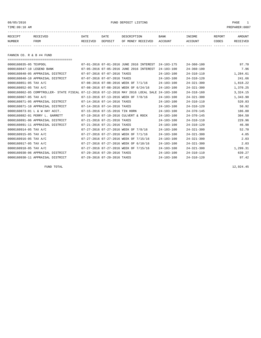08/05/2016 FUND DEPOSIT LISTING PAGE 1

| RECEIPT | <b>RECEIVED</b> | DATE     | DATE    | DESCRIPTION       | BANK    | <b>INCOME</b> | REPORT | <b>AMOUNT</b> |
|---------|-----------------|----------|---------|-------------------|---------|---------------|--------|---------------|
| NUMBER  | FROM            | RECEIVED | DEPOSIT | OF MONEY RECEIVED | ACCOUNT | ACCOUNT       | CODES  | RECEIVED      |
|         |                 |          |         |                   |         |               |        |               |

FANNIN CO. R & B #4 FUND

===================================

| 0000160835-05 TEXPOOL                                                             |                                | 07-01-2016 07-01-2016 JUNE 2016 INTEREST | $24 - 103 - 175$ | $24 - 360 - 100$ | 97.70    |
|-----------------------------------------------------------------------------------|--------------------------------|------------------------------------------|------------------|------------------|----------|
| 0000160847-10 LEGEND BANK                                                         |                                | 07-05-2016 07-05-2016 JUNE 2016 INTEREST | $24 - 103 - 100$ | $24 - 360 - 100$ | 7.96     |
| 0000160848-05 APPRAISAL DISTRICT                                                  | 07-07-2016 07-07-2016 TAXES    |                                          | $24 - 103 - 100$ | $24 - 310 - 110$ | 1,284.61 |
| 0000160848-10 APPRAISAL DISTRICT                                                  | 07-07-2016 07-07-2016 TAXES    |                                          | $24 - 103 - 100$ | $24 - 310 - 120$ | 241.66   |
| 0000160851-05 TAX A/C                                                             |                                | 07-08-2016 07-08-2016 WEEK OF 7/1/16     | $24 - 103 - 100$ | $24 - 321 - 300$ | 1,818.22 |
| 0000160852-05 TAX A/C                                                             |                                | 07-08-2016 07-08-2016 WEEK OF 6/24/16    | $24 - 103 - 100$ | $24 - 321 - 300$ | 1,370.25 |
| 0000160862-05 COMPTROLLER- STATE FISCAL 07-12-2016 07-12-2016 MAY 2016 LOCAL SALE |                                |                                          | $24 - 103 - 100$ | $24 - 318 - 160$ | 3,324.15 |
| 0000160867-05 TAX A/C                                                             |                                | 07-13-2016 07-13-2016 WEEK OF 7/8/16     | $24 - 103 - 100$ | $24 - 321 - 300$ | 1,343.90 |
| 0000160871-05 APPRAISAL DISTRICT                                                  | 07-14-2016 07-14-2016 TAXES    |                                          | $24 - 103 - 100$ | $24 - 310 - 110$ | 520.83   |
| 0000160871-10 APPRAISAL DISTRICT                                                  | 07-14-2016 07-14-2016 TAXES    |                                          | $24 - 103 - 100$ | $24 - 310 - 120$ | 50.92    |
| 0000160873-01 L & W HAY ACCT.                                                     | 07-15-2016 07-15-2016 TIN HORN |                                          | $24 - 103 - 100$ | $24 - 370 - 145$ | 186.00   |
| 0000160882-01 PERRY L. GARRETT                                                    |                                | 07-19-2016 07-19-2016 CULVERT & ROCK     | $24 - 103 - 100$ | $24 - 370 - 145$ | 304.50   |
| 0000160891-06 APPRAISAL DISTRICT                                                  | 07-21-2016 07-21-2016 TAXES    |                                          | $24 - 103 - 100$ | $24 - 310 - 110$ | 229.96   |
| 0000160891-11 APPRAISAL DISTRICT                                                  | 07-21-2016 07-21-2016 TAXES    |                                          | $24 - 103 - 100$ | $24 - 310 - 120$ | 46.98    |
| 0000160914-05 TAX A/C                                                             |                                | 07-27-2016 07-27-2016 WEEK OF 7/8/16     | $24 - 103 - 100$ | $24 - 321 - 300$ | 52.70    |
| 0000160915-05 TAX A/C                                                             |                                | 07-27-2016 07-27-2016 WEEK OF 7/1/16     | $24 - 103 - 100$ | $24 - 321 - 300$ | 4.05     |
| 0000160916-05 TAX A/C                                                             |                                | 07-27-2016 07-27-2016 WEEK OF 7/15/16    | $24 - 103 - 100$ | $24 - 321 - 300$ | 2.03     |
| 0000160917-05 TAX A/C                                                             |                                | 07-27-2016 07-27-2016 WEEK OF 6/10/16    | $24 - 103 - 100$ | $24 - 321 - 300$ | 2.03     |
| 0000160918-05 TAX A/C                                                             |                                | 07-27-2016 07-27-2016 WEEK OF 7/15/16    | $24 - 103 - 100$ | $24 - 321 - 300$ | 1,299.31 |
| 0000160930-06 APPRAISAL DISTRICT                                                  | 07-29-2016 07-29-2016 TAXES    |                                          | $24 - 103 - 100$ | $24 - 310 - 110$ | 639.27   |
| 0000160930-11 APPRAISAL DISTRICT                                                  | 07-29-2016 07-29-2016 TAXES    |                                          | $24 - 103 - 100$ | $24 - 310 - 120$ | 97.42    |

FUND TOTAL 12,924.45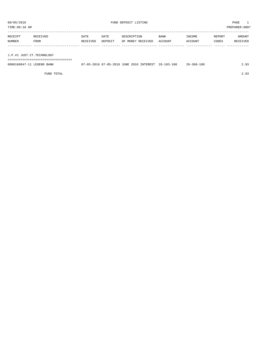TIME:09:10 AM PREPARER:0007

| RECEIPT | RECEIVED    | DATE     | DATE    | DESCRIPTION       | <b>BANK</b> | <b>TNCOME</b> | REPORT | AMOUNT          |
|---------|-------------|----------|---------|-------------------|-------------|---------------|--------|-----------------|
| NUMBER  | <b>FROM</b> | RECEIVED | DEPOSIT | OF MONEY RECEIVED | ACCOUNT     | ACCOUNT       | CODES  | <b>RECEIVED</b> |
|         |             |          |         |                   |             |               |        |                 |

J.P.#1 JUST.CT.TECHNOLOGY

===================================

| 0000160847-11 LEGEND BANK | 07-05-2016 07-05-2016 JUNE 2016 INTEREST 26-103-100 |  |  | 26-360-100 | 2.93 |
|---------------------------|-----------------------------------------------------|--|--|------------|------|
|                           |                                                     |  |  |            |      |

FUND TOTAL 2.93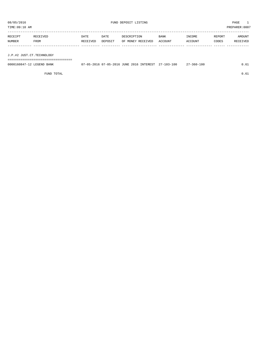TIME:09:10 AM PREPARER:0007 -----------------------------------------------------------------------------------------------------------------------------------

| RECEIPT | <b>RECEIVED</b> | DATE     | DATE    | DESCRIPTION       | <b>BANK</b> | "NCOME  | REPORT | AMOUNT          |
|---------|-----------------|----------|---------|-------------------|-------------|---------|--------|-----------------|
| NUMBER  | <b>FROM</b>     | RECEIVED | DEPOSIT | OF MONEY RECEIVED | ACCOUNT     | ACCOUNT | CODES  | <b>RECEIVED</b> |
|         |                 |          |         |                   |             |         |        |                 |

J.P.#2 JUST.CT.TECHNOLOGY

===================================

| 0000160847-12 LEGEND BANK |  |  | 07-05-2016 07-05-2016 JUNE 2016 INTEREST 27-103-100 | 27-360-100 | 0.61 |
|---------------------------|--|--|-----------------------------------------------------|------------|------|
|                           |  |  |                                                     |            |      |

FUND TOTAL  $0.61$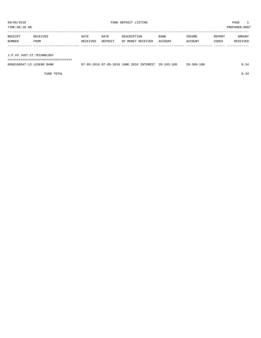TIME:09:10 AM PREPARER:0007 -----------------------------------------------------------------------------------------------------------------------------------

| RECEIPT | <b>RECEIVED</b> | DATE     | DATE    | DESCRIPTION       | <b>BANK</b> | INCOME  | REPORT | AMOUNT   |
|---------|-----------------|----------|---------|-------------------|-------------|---------|--------|----------|
| NUMBER  | FROM            | RECEIVED | DEPOSIT | OF MONEY RECEIVED | ACCOUNT     | ACCOUNT | CODES  | RECEIVED |
|         |                 |          |         |                   |             |         |        |          |

J.P.#3 JUST.CT.TECHNOLOGY

===================================

| 0000160847-13 LEGEND BANK | 07-05-2016 07-05-2016 JUNE 2016 INTEREST 28-103-100 |  | 28-360-100 | 0.34 |
|---------------------------|-----------------------------------------------------|--|------------|------|
|                           |                                                     |  |            |      |

FUND TOTAL  $0.34$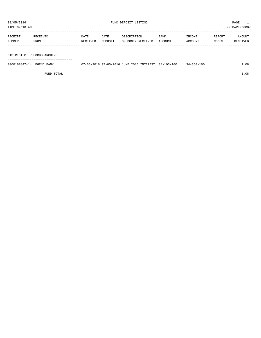TIME:09:10 AM PREPARER:0007

| RECEIPT | RECEIVED    | DATE     | DATE    | DESCRIPTION       | <b>BANK</b> | INCOME         | REPORT | AMOUNT   |
|---------|-------------|----------|---------|-------------------|-------------|----------------|--------|----------|
| NUMBER  | <b>FROM</b> | RECEIVED | DEPOSIT | OF MONEY RECEIVED | ACCOUNT     | <b>ACCOUNT</b> | CODES  | RECEIVED |
|         |             |          |         |                   |             |                |        |          |

#### DISTRICT CT.RECORDS ARCHIVE

===================================

| 0000160847-14 LEGEND BANK |  | 7-05-2016 07-05-2016 JUNE 2016 INTEREST | $34 - 103 - 100$ | $34 - 360 - 100$ | .08 |
|---------------------------|--|-----------------------------------------|------------------|------------------|-----|
|                           |  |                                         |                  |                  |     |

FUND TOTAL  $1.08$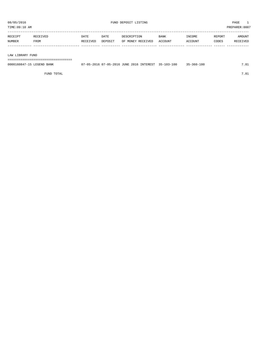TIME:09:10 AM PREPARER:0007

| RECEIPT | RECEIVED | DATE     | DATE    | DESCRIPTION       | BANK      | INCOME  | REPORT | AMOUNT          |
|---------|----------|----------|---------|-------------------|-----------|---------|--------|-----------------|
| NUMBER  | FROM     | RECEIVED | DEPOSIT | OF MONEY RECEIVED | . ACCOUNT | ACCOUNT | CODES  | <b>RECEIVED</b> |
|         |          |          |         |                   |           |         |        |                 |

#### LAW LIBRARY FUND

===================================

| 0000160847-15 LEGEND BANK |  |  | 07-05-2016 07-05-2016 JUNE 2016 INTEREST 35-103-100 | $35 - 360 - 100$ |  |
|---------------------------|--|--|-----------------------------------------------------|------------------|--|
|                           |  |  |                                                     |                  |  |

FUND TOTAL  $7.81$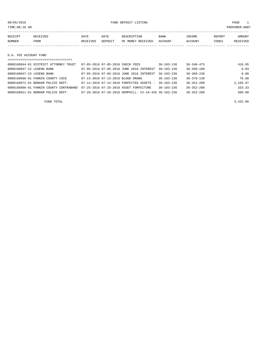08/05/2016 FUND DEPOSIT LISTING PAGE 1

| RECEIPT | <b>RECEIVED</b> | DATE     | DATE    | DESCRIPTION       | <b>BANK</b> | <b>TNCOME</b> | REPORT | AMOUNT          |
|---------|-----------------|----------|---------|-------------------|-------------|---------------|--------|-----------------|
| NUMBER  | FROM            | RECEIVED | DEPOSIT | OF MONEY RECEIVED | ACCOUNT     | ACCOUNT       | CODES  | <b>RECEIVED</b> |
|         |                 |          |         |                   |             |               |        |                 |

D.A. FEE ACCOUNT FUND

| ------------------------------------   |  |                                  |                                                      |                  |                  |          |
|----------------------------------------|--|----------------------------------|------------------------------------------------------|------------------|------------------|----------|
| 0000160844-01 DISTRICT ATTORNEY TRUST  |  | 07-05-2016 07-05-2016 CHECK FEES |                                                      | $36 - 103 - 136$ | $36 - 340 - 475$ | 416.95   |
| 0000160847-22 LEGEND BANK              |  |                                  | 07-05-2016 07-05-2016 JUNE 2016 INTEREST             | $36 - 103 - 136$ | $36 - 360 - 100$ | 0.03     |
| 0000160847-23 LEGEND BANK              |  |                                  | 07-05-2016 07-05-2016 JUNE 2016 INTEREST             | $36 - 103 - 236$ | $36 - 360 - 236$ | 0.08     |
| 0000160866-01 FANNIN COUNTY CSCD       |  |                                  | 07-13-2016 07-13-2016 BLOOD DRAWS                    | $36 - 103 - 136$ | $36 - 370 - 130$ | 76.80    |
| 0000160872-01 BONHAM POLICE DEPT.      |  |                                  | 07-14-2016 07-14-2016 FORFEITED ASSETS -             | $36 - 103 - 236$ | $36 - 352 - 200$ | 2,105.67 |
| 0000160906-01 FANNIN COUNTY CONTRABAND |  |                                  | 07-25-2016 07-25-2016 ASSET FORFEITURE               | $36 - 103 - 236$ | $36 - 352 - 200$ | 333.33   |
| 0000160911-01 BONHAM POLICE DEPT.      |  |                                  | 07-26-2016 07-26-2016 HEMPHILL- CV-16-426 36-103-236 |                  | $36 - 352 - 200$ | 500.00   |

FUND TOTAL 3,432.86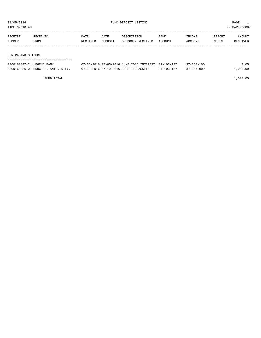TIME:09:10 AM PREPARER:0007

| RECEIPT | RECEIVED | DATE     | DATE    | DESCRIPTION       | <b>BANK</b> | INCOME  | REPORT | AMOUNT   |
|---------|----------|----------|---------|-------------------|-------------|---------|--------|----------|
| NUMBER  | FROM     | RECEIVED | DEPOSIT | OF MONEY RECEIVED | ACCOUNT     | ACCOUNT | CODES  | RECEIVED |
|         |          |          |         |                   |             |         |        |          |
|         |          |          |         |                   |             |         |        |          |

#### CONTRABAND SEIZURE

| --------------------------------<br>------------------------------- |                                                     |                  |                  |          |
|---------------------------------------------------------------------|-----------------------------------------------------|------------------|------------------|----------|
| 0000160847-24 LEGEND BANK                                           | 07-05-2016 07-05-2016 JUNE 2016 INTEREST 37-103-137 |                  | $37 - 360 - 100$ | 0.05     |
| 0000160886-01 BRUCE E. ANTON ATTY.                                  | 07-19-2016 07-19-2016 FOREITED ASSETS               | $37 - 103 - 137$ | $37 - 207 - 099$ | 1,000.00 |

FUND TOTAL 1,000.05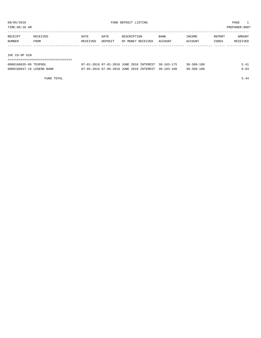TIME:09:10 AM PREPARER:0007

| RECEIPT | RECEIVED | DATE     | DATE    | DESCRIPTION       | <b>BANK</b> | INCOME  | REPORT | AMOUNT   |
|---------|----------|----------|---------|-------------------|-------------|---------|--------|----------|
| NUMBER  | FROM     | RECEIVED | DEPOSIT | OF MONEY RECEIVED | ACCOUNT     | ACCOUNT | CODES  | RECEIVED |
|         |          |          |         |                   |             |         |        |          |
|         |          |          |         |                   |             |         |        |          |
|         |          |          |         |                   |             |         |        |          |

## IHC CO-OP GIN

| ---------------------------------- |                                                     |                  |      |
|------------------------------------|-----------------------------------------------------|------------------|------|
| 0000160835-06 TEXPOOL              | 07-01-2016 07-01-2016 JUNE 2016 INTEREST 38-103-175 | $38 - 360 - 100$ | 5.41 |
| 0000160847-16 LEGEND BANK          | 07-05-2016 07-05-2016 JUNE 2016 INTEREST 38-103-100 | $38 - 360 - 100$ | 0.03 |

FUND TOTAL 5.44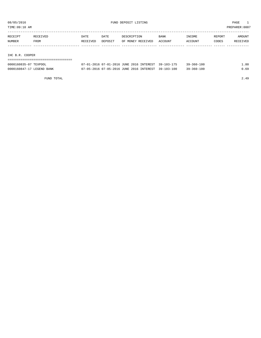TIME:09:10 AM PREPARER:0007

| RECEIPT         | RECEIVED | <b>DATE</b> | DATE    | DESCRIPTION       | <b>BANK</b> | INCOME  | REPORT | AMOUNT   |  |  |
|-----------------|----------|-------------|---------|-------------------|-------------|---------|--------|----------|--|--|
| NUMBER          | FROM     | RECEIVED    | DEPOSIT | OF MONEY RECEIVED | ACCOUNT     | ACCOUNT | CODES  | RECEIVED |  |  |
|                 |          |             |         |                   |             |         |        |          |  |  |
|                 |          |             |         |                   |             |         |        |          |  |  |
| IHC B.R. COOPER |          |             |         |                   |             |         |        |          |  |  |
|                 |          |             |         |                   |             |         |        |          |  |  |

| 0000160835-07 TEXPOOL     | 07-01-2016 07-01-2016 JUNE 2016 INTEREST 39-103-175 | $39 - 360 - 100$ | .80  |
|---------------------------|-----------------------------------------------------|------------------|------|
| 0000160847-17 LEGEND BANK | 07-05-2016 07-05-2016 JUNE 2016 INTEREST 39-103-100 | 39-360-100       | 0.69 |

FUND TOTAL 2.49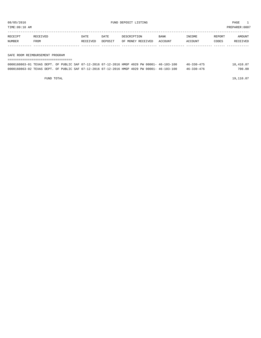TIME:09:10 AM PREPARER:0007

| RECEIPT | RECEIVED | DATE     | DATE           | DESCRIPTION       | <b>BANK</b> | <b>INCOME</b> | REPORT | AMOUNT          |
|---------|----------|----------|----------------|-------------------|-------------|---------------|--------|-----------------|
| NUMBER  | FROM     | RECEIVED | <b>DEPOSTT</b> | OF MONEY RECEIVED | ACCOUNT     | ACCOUNT       | CODES  | <b>RECEIVED</b> |
|         |          |          |                |                   |             |               |        |                 |

#### SAFE ROOM REIMBURSEMENT PROGRAM

| ------------------------------------                                                         |  |  |  |  |  |                  |           |
|----------------------------------------------------------------------------------------------|--|--|--|--|--|------------------|-----------|
| 0000160863-01 TEXAS DEPT. OF PUBLIC SAF 07-12-2016 07-12-2016 HMGP 4029 PW 00001- 46-103-100 |  |  |  |  |  | $46 - 330 - 475$ | 18,410.07 |
| 0000160863-02 TEXAS DEPT. OF PUBLIC SAF 07-12-2016 07-12-2016 HMGP 4029 PW 00001- 46-103-100 |  |  |  |  |  | $46 - 330 - 476$ | 700.00    |

FUND TOTAL  $19,110.07$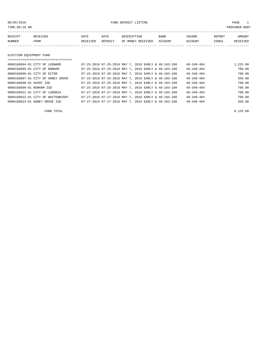08/05/2016 FUND DEPOSIT LISTING PAGE 1

| RECEIPT | RECEIVED | DATE     | DATE    | DESCRIPTION       | <b>BANK</b> | INCOME  | REPORT | AMOUNT          |
|---------|----------|----------|---------|-------------------|-------------|---------|--------|-----------------|
| NUMBER  | FROM     | RECEIVED | DEPOSIT | OF MONEY RECEIVED | ACCOUNT     | ACCOUNT | CODES  | <b>RECEIVED</b> |
|         |          |          |         |                   |             |         |        |                 |

# ELECTION EQUIPMENT FUND

|                          | 0000160894-01 CITY OF LEONARD     |  |  | 07-25-2016 07-25-2016 MAY 7, 2016 EARLY & 48-103-100 | $48 - 340 - 484$ | 1,225.00 |
|--------------------------|-----------------------------------|--|--|------------------------------------------------------|------------------|----------|
|                          | 0000160895-01 CITY OF BONHAM      |  |  | 07-25-2016 07-25-2016 MAY 7, 2016 EARLY & 48-103-100 | $48 - 340 - 484$ | 700.00   |
|                          | 0000160896-01 CITY OF ECTOR       |  |  | 07-25-2016 07-25-2016 MAY 7, 2016 EARLY & 48-103-100 | $48 - 340 - 484$ | 700.00   |
|                          | 0000160897-01 CITY OF HONEY GROVE |  |  | 07-25-2016 07-25-2016 MAY 7, 2016 EARLY & 48-103-100 | $48 - 340 - 484$ | 350.00   |
| 0000160898-01 SAVOY ISD  |                                   |  |  | 07-25-2016 07-25-2016 MAY 7, 2016 EARLY & 48-103-100 | $48 - 340 - 484$ | 700.00   |
| 0000160899-01 BONHAM ISD |                                   |  |  | 07-25-2016 07-25-2016 MAY 7, 2016 EARLY & 48-103-100 | $48 - 340 - 484$ | 700.00   |
|                          | 0000160921-01 CITY OF LADONIA     |  |  | 07-27-2016 07-27-2016 MAY 7, 2016 EARLY & 48-103-100 | $48 - 340 - 484$ | 700.00   |
|                          | 0000160922-01 CITY OF WHITEWRIGHT |  |  | 07-27-2016 07-27-2016 MAY 7, 2016 EARLY & 48-103-100 | $48 - 340 - 484$ | 700.00   |
|                          | 0000160923-01 HONEY GROVE ISD     |  |  | 07-27-2016 07-27-2016 MAY 7, 2016 EARLY & 48-103-100 | $48 - 340 - 484$ | 350.00   |

FUND TOTAL  $6,125.00$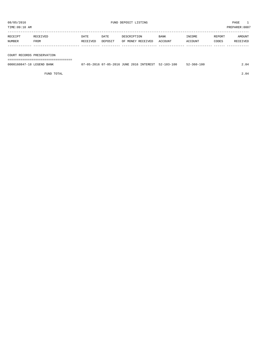TIME:09:10 AM PREPARER:0007

| RECEIPT       | <b>RECEIVED</b> | DATE     | DATE    | DESCRIPTION       | <b>BANK</b> | <b>INCOME</b> | REPORT | AMOUNT          |
|---------------|-----------------|----------|---------|-------------------|-------------|---------------|--------|-----------------|
| <b>NUMBER</b> | FROM            | RECEIVED | DEPOSIT | OF MONEY RECEIVED | ACCOUNT     | CCOUNT        | CODES  | <b>RECEIVED</b> |
|               |                 |          |         |                   |             |               |        |                 |

#### COURT RECORDS PRESERVATION

===================================

| 0000160847-18 LEGEND BANK | 07-05-2016 07-05-2016 JUNE 2016 INTEREST 52-103-100 |  | 52-360-100 | 2.04 |
|---------------------------|-----------------------------------------------------|--|------------|------|
|                           |                                                     |  |            |      |

FUND TOTAL 2.04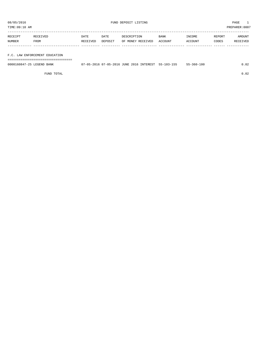TIME:09:10 AM PREPARER:0007

| RECEIPT | RECEIVED    | DATE     | DATE    | DESCRIPTION       | <b>BANK</b> | <b>TNCOME</b>  | REPORT | AMOUNT   |
|---------|-------------|----------|---------|-------------------|-------------|----------------|--------|----------|
| NUMBER  | <b>FROM</b> | RECEIVED | DEPOSIT | OF MONEY RECEIVED | ACCOUNT     | <b>ACCOUNT</b> | CODES  | RECEIVED |
|         |             |          |         |                   |             |                |        |          |

# F.C. LAW ENFORCEMENT EDUCATION

===================================

| 0000160847-25 LEGEND BANK |  |  | 07-05-2016 07-05-2016 JUNE 2016 INTEREST 55-103-155 | $55 - 360 - 100$ | .02 |
|---------------------------|--|--|-----------------------------------------------------|------------------|-----|
|                           |  |  |                                                     |                  |     |

FUND TOTAL 0.02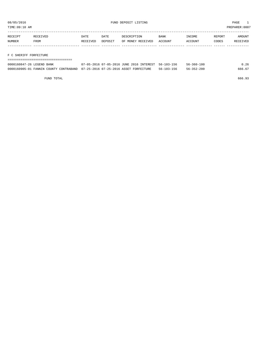TIME:09:10 AM PREPARER:0007

| RECEIPT | RECEIVED | DATE     | DATE    | DESCRIPTION       | <b>BANK</b> | INCOME  | REPORT | AMOUNT   |
|---------|----------|----------|---------|-------------------|-------------|---------|--------|----------|
| NUMBER  | FROM     | RECEIVED | DEPOSIT | OF MONEY RECEIVED | ACCOUNT     | ACCOUNT | CODES  | RECEIVED |
|         |          |          |         |                   |             |         |        |          |
|         |          |          |         |                   |             |         |        |          |

F C SHERIFF FORFEITURE

| =========================== |                                                                               |            |            |        |  |  |  |  |
|-----------------------------|-------------------------------------------------------------------------------|------------|------------|--------|--|--|--|--|
| 0000160847-26 LEGEND BANK   | 07-05-2016 07-05-2016 JUNE 2016 INTEREST 56-103-156                           |            | 56-360-100 | 0.26   |  |  |  |  |
|                             | 0000160905-01 FANNIN COUNTY CONTRABAND 07-25-2016 07-25-2016 ASSET FORFEITURE | 56-103-156 | 56-352-200 | 666.67 |  |  |  |  |

FUND TOTAL 666.93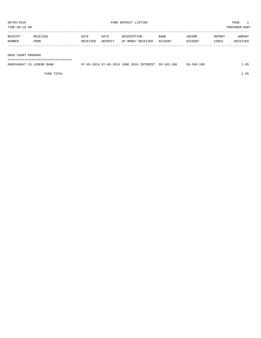TIME:09:10 AM PREPARER:0007

| RECEIPT | RECEIVED | DATE     | DATE    | DESCRIPTION       | <b>BANK</b> | INCOME  | REPORT | AMOUNT   |
|---------|----------|----------|---------|-------------------|-------------|---------|--------|----------|
| NUMBER  | FROM     | RECEIVED | DEPOSIT | OF MONEY RECEIVED | ACCOUNT     | ACCOUNT | CODES  | RECEIVED |
|         |          |          |         |                   |             |         |        |          |

DRUG COURT PROGRAM

===================================

| 0000160847-19 LEGEND BANK | 07-05-2016 07-05-2016 JUNE 2016 INTEREST | $59 - 103 - 100$ | $59 - 360 - 100$ |  |
|---------------------------|------------------------------------------|------------------|------------------|--|
|                           |                                          |                  |                  |  |

FUND TOTAL  $1.85$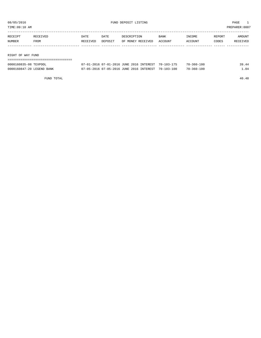TIME:09:10 AM PREPARER:0007

| RECEIPT           | RECEIVED | DATE     | DATE    | DESCRIPTION       | <b>BANK</b> | INCOME  | REPORT | AMOUNT   |
|-------------------|----------|----------|---------|-------------------|-------------|---------|--------|----------|
| NUMBER            | FROM     | RECEIVED | DEPOSIT | OF MONEY RECEIVED | ACCOUNT     | ACCOUNT | CODES  | RECEIVED |
|                   |          |          |         |                   |             |         |        |          |
|                   |          |          |         |                   |             |         |        |          |
| RIGHT OF WAY FUND |          |          |         |                   |             |         |        |          |
|                   |          |          |         |                   |             |         |        |          |

| 0000160835-08 TEXPOOL     | 07-01-2016 07-01-2016 JUNE 2016 INTEREST 70-103-175 | $70 - 360 - 100$ | 39.44 |
|---------------------------|-----------------------------------------------------|------------------|-------|
| 0000160847-20 LEGEND BANK | 07-05-2016 07-05-2016 JUNE 2016 INTEREST 70-103-100 | $70 - 360 - 100$ | 04    |

FUND TOTAL 40.48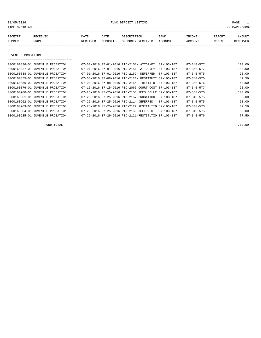08/05/2016 FUND DEPOSIT LISTING PAGE 1

| RECEIPT | <b>RECEIVED</b> | DATE            | DATE    | DESCRIPTION       | <b>BANK</b> | <b>TNCOME</b> | REPORT | AMOUNT          |
|---------|-----------------|-----------------|---------|-------------------|-------------|---------------|--------|-----------------|
| NUMBER  | FROM            | <b>RECEIVED</b> | DEPOSIT | OF MONEY RECEIVED | ACCOUNT     | ACCOUNT       | CODES  | <b>RECEIVED</b> |
|         |                 |                 |         |                   |             |               |        |                 |

JUVENILE PROBATION

| , ____________________________________ |                                                              |                            |
|----------------------------------------|--------------------------------------------------------------|----------------------------|
| 0000160836-01 JUVENILE PROBATION       | 07-01-2016 07-01-2016 PID-2151- ATTORNEY<br>$87 - 103 - 187$ | $87 - 340 - 577$<br>100.00 |
| 0000160837-01 JUVENILE PROBATION       | 07-01-2016 07-01-2016 PID-2151- ATTORNEY<br>$87 - 103 - 187$ | 100.00<br>$87 - 340 - 577$ |
| 0000160838-01 JUVENILE PROBATION       | 07-01-2016 07-01-2016 PID-2162- DEFERRED<br>87-103-187       | $87 - 340 - 575$<br>20.00  |
| 0000160855-01 JUVENILE PROBATION       | 07-08-2016 07-08-2016 PID-2121- RESTITUTI 87-103-187         | 47.50<br>$87 - 340 - 576$  |
| 0000160856-01 JUVENILE PROBATION       | 07-08-2016 07-08-2016 PID-2154 - RESTITUT 87-103-187         | $87 - 340 - 576$<br>60.00  |
| 0000160876-01 JUVENILE PROBATION       | 07-15-2016 07-15-2016 PID-2065 COURT COST 87-103-187         | $87 - 340 - 577$<br>20.00  |
| 0000160900-01 JUVENILE PROBATION       | 07-25-2016 07-25-2016 PID-2158 FEES COLLE 87-103-187         | 100.00<br>$87 - 340 - 576$ |
| 0000160901-01 JUVENILE PROBATION       | 07-25-2016 07-25-2016 PID-2157 PROBATION<br>87-103-187       | 50.00<br>$87 - 340 - 575$  |
| 0000160902-01 JUVENILE PROBATION       | 07-25-2016 07-25-2016 PID-2114 DEFERRED<br>$87 - 103 - 187$  | 50.00<br>$87 - 340 - 575$  |
| 0000160903-01 JUVENILE PROBATION       | 07-25-2016 07-25-2016 PID-2122 RESTITUTIO<br>87-103-187      | $87 - 340 - 576$<br>47.50  |
| 0000160904-01 JUVENILE PROBATION       | 07-25-2016 07-25-2016 PID-2158 DEFERRED<br>$87 - 103 - 187$  | $87 - 340 - 575$<br>30.00  |
| 0000160925-01 JUVENILE PROBATION       | 07-29-2016 07-29-2016 PID-2121-RESTITUTIO 87-103-187         | 77.50<br>$87 - 340 - 576$  |

FUND TOTAL 702.50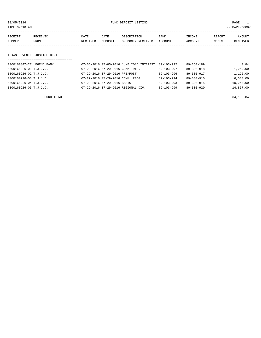08/05/2016 FUND DEPOSIT LISTING PAGE 1

| RECEIPT | <b>RECEIVED</b> | DATE            | DATE    | DESCRIPTION       | <b>BANK</b> | INCOME  | <b>REPORT</b> | AMOUNT          |
|---------|-----------------|-----------------|---------|-------------------|-------------|---------|---------------|-----------------|
| NUMBER  | FROM            | <b>RECEIVED</b> | DEPOSIT | OF MONEY RECEIVED | ACCOUNT     | ACCOUNT | CODES         | <b>RECEIVED</b> |
|         |                 |                 |         |                   |             |         |               |                 |

### TEXAS JUVENILE JUSTICE DEPT.

| =================================== |                                          |                  |                  |           |
|-------------------------------------|------------------------------------------|------------------|------------------|-----------|
| 0000160847-27 LEGEND BANK           | 07-05-2016 07-05-2016 JUNE 2016 INTEREST | 89-103-992       | 89-360-189       | 0.84      |
| 0000160926-01 T.J.J.D.              | 07-29-2016 07-29-2016 COMM. DIR.         | $89 - 103 - 997$ | $89 - 330 - 918$ | 1,259.00  |
| 0000160926-02 T.J.J.D.              | 07-29-2016 07-29-2016 PRE/POST           | $89 - 103 - 996$ | $89 - 330 - 917$ | 1,196.00  |
| 0000160926-03 T.J.J.D.              | 07-29-2016 07-29-2016 COMM. PROG.        | $89 - 103 - 994$ | $89 - 330 - 916$ | 6.533.00  |
| $0000160926 - 04$ T.J.J.D.          | 07-29-2016 07-29-2016 BASIC              | $89 - 103 - 993$ | $89 - 330 - 915$ | 10,263.00 |
| 0000160926-05 T.J.J.D.              | 07-29-2016 07-29-2016 REGIONAL DIV.      | $89 - 103 - 999$ | $89 - 330 - 920$ | 14,857.00 |
|                                     |                                          |                  |                  |           |

FUND TOTAL  $34,108.84$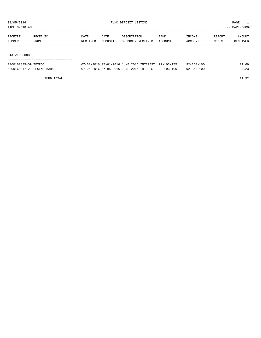TIME:09:10 AM PREPARER:0007

| RECEIPT | RECEIVED | DATE     | DATE    | DESCRIPTION       | <b>BANK</b> | INCOME         | REPORT | AMOUNT   |
|---------|----------|----------|---------|-------------------|-------------|----------------|--------|----------|
| NUMBER  | FROM     | RECEIVED | DEPOSIT | OF MONEY RECEIVED | ACCOUNT     | <b>ACCOUNT</b> | CODES  | RECEIVED |
|         |          |          |         |                   |             |                |        |          |
|         |          |          |         |                   |             |                |        |          |

#### STATZER FUND

| ==================================== |                                                     |                  |       |
|--------------------------------------|-----------------------------------------------------|------------------|-------|
| 0000160835-09 TEXPOOL                | 07-01-2016 07-01-2016 JUNE 2016 INTEREST 92-103-175 | $92 - 360 - 100$ | 11.69 |
| 0000160847-21 LEGEND BANK            | 07-05-2016 07-05-2016 JUNE 2016 INTEREST 92-103-100 | $92 - 360 - 100$ | 0.23  |

FUND TOTAL 11.92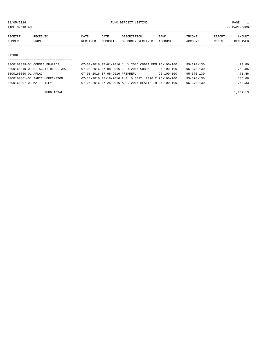TIME:09:10 AM PREPARER:0007 -----------------------------------------------------------------------------------------------------------------------------------

| RECEIPT |      | DATE            | DATE    |                   | <b>BANK</b>    | <b>NCOME</b> | REPORT | NMOUNT |
|---------|------|-----------------|---------|-------------------|----------------|--------------|--------|--------|
| NUMBER  | FROM | <b>RECEIVED</b> | DEPOSIT | OF MONEY RECEIVED | <b>ACCOUNT</b> | ACCOUNT      | CODES  |        |
|         |      |                 |         |                   |                |              |        |        |

#### PAYROLL

| ================================== |                                                      |                  |                  |        |
|------------------------------------|------------------------------------------------------|------------------|------------------|--------|
| 0000160839-01 CONNIE EDWARDS       | 07-01-2016 07-01-2016 JULY 2016 COBRA DEN 95-100-100 |                  | $95 - 370 - 130$ | 23.80  |
| 0000160849-01 H. SCOTT DTER, JR.   | 07-08-2016 07-08-2016 JULY 2016 COBRA                | $95 - 100 - 100$ | 95-370-130       | 752.86 |
| 0000160850-01 AFLAC                | 07-08-2016 07-08-2016 PREMREFU                       | 95-100-100       | $95 - 370 - 130$ | 71.46  |
| 0000160881-01 JANIE HERRINGTON     | 07-18-2016 07-18-2016 AUG. & SEPT. 2016 C 95-100-100 |                  | $95 - 370 - 130$ | 136.68 |
| 0000160907-01 MATT RILEY           | 07-25-2016 07-25-2016 AUG, 2016 HEALTH IN 95-100-100 |                  | $95 - 370 - 130$ | 762.33 |
|                                    |                                                      |                  |                  |        |

FUND TOTAL  $1,747.13$